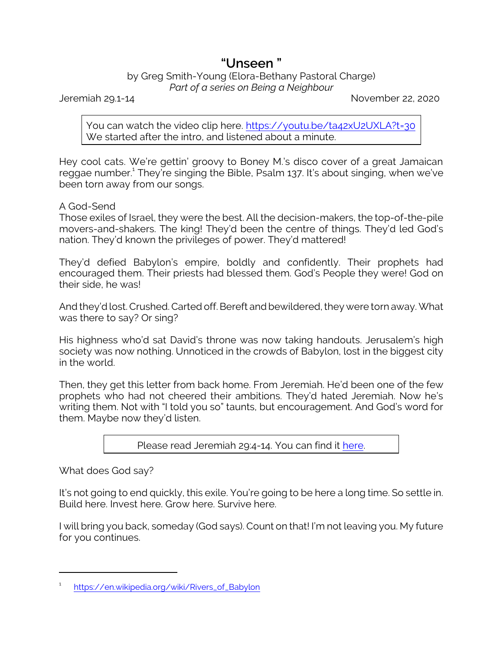## **"Unseen "**

## by Greg Smith-Young (Elora-Bethany Pastoral Charge) *Part of a series on Being a Neighbour*

Jeremiah 29.1-14 November 22, 2020

You can watch the video clip here. [https://youtu.be/ta42xU2UXLA?t=30](https://www.youtube.com/watch?v=ta42xU2UXLA) We started after the intro, and listened about a minute.

Hey cool cats. We're gettin' groovy to Boney M.'s disco cover of a great Jamaican reggae number.<sup>1</sup> They're singing the Bible, Psalm 137. It's about singing, when we've been torn away from our songs.

A God-Send

Those exiles of Israel, they were the best. All the decision-makers, the top-of-the-pile movers-and-shakers. The king! They'd been the centre of things. They'd led God's nation. They'd known the privileges of power. They'd mattered!

They'd defied Babylon's empire, boldly and confidently. Their prophets had encouraged them. Their priests had blessed them. God's People they were! God on their side, he was!

And they'd lost. Crushed. Carted off. Bereft and bewildered, they were torn away. What was there to say? Or sing?

His highness who'd sat David's throne was now taking handouts. Jerusalem's high society was now nothing. Unnoticed in the crowds of Babylon, lost in the biggest city in the world.

Then, they get this letter from back home. From Jeremiah. He'd been one of the few prophets who had not cheered their ambitions. They'd hated Jeremiah. Now he's writing them. Not with "I told you so" taunts, but encouragement. And God's word for them. Maybe now they'd listen.

Please read Jeremiah 29:4-14. You can find it [here](https://www.biblegateway.com/passage/?search=Jeremiah+29%3A4-14&version=CEB).

What does God say?

It's not going to end quickly, this exile. You're going to be here a long time. So settle in. Build here. Invest here. Grow here. Survive here.

I will bring you back, someday (God says). Count on that! I'm not leaving you. My future for you continues.

<sup>1</sup> [https://en.wikipedia.org/wiki/Rivers\\_of\\_Babylon](https://en.wikipedia.org/wiki/Rivers_of_Babylon)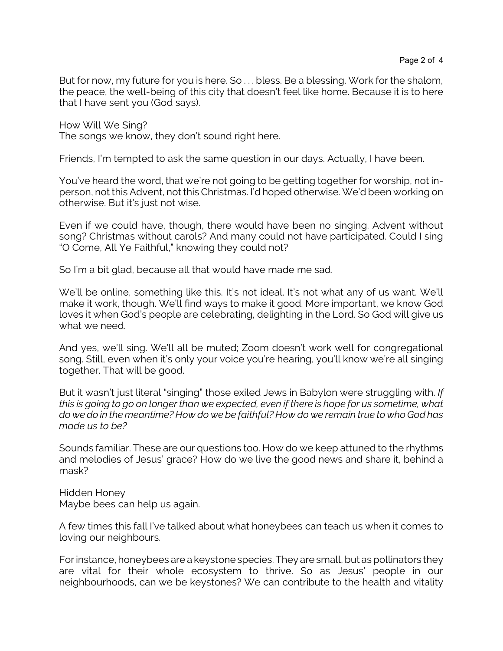But for now, my future for you is here. So . . . bless. Be a blessing. Work for the shalom, the peace, the well-being of this city that doesn't feel like home. Because it is to here that I have sent you (God says).

How Will We Sing? The songs we know, they don't sound right here.

Friends, I'm tempted to ask the same question in our days. Actually, I have been.

You've heard the word, that we're not going to be getting together for worship, not inperson, not this Advent, not this Christmas. I'd hoped otherwise. We'd been working on otherwise. But it's just not wise.

Even if we could have, though, there would have been no singing. Advent without song? Christmas without carols? And many could not have participated. Could I sing "O Come, All Ye Faithful," knowing they could not?

So I'm a bit glad, because all that would have made me sad.

We'll be online, something like this. It's not ideal. It's not what any of us want. We'll make it work, though. We'll find ways to make it good. More important, we know God loves it when God's people are celebrating, delighting in the Lord. So God will give us what we need.

And yes, we'll sing. We'll all be muted; Zoom doesn't work well for congregational song. Still, even when it's only your voice you're hearing, you'll know we're all singing together. That will be good.

But it wasn't just literal "singing" those exiled Jews in Babylon were struggling with. *If this is going to go on longer than we expected, even if there is hope for us sometime, what do we do in the meantime? How do we be faithful? How do we remain true to who God has made us to be?*

Sounds familiar. These are our questions too. How do we keep attuned to the rhythms and melodies of Jesus' grace? How do we live the good news and share it, behind a mask?

Hidden Honey Maybe bees can help us again.

A few times this fall I've talked about what honeybees can teach us when it comes to loving our neighbours.

For instance, honeybees are a keystone species. They are small, but as pollinators they are vital for their whole ecosystem to thrive. So as Jesus' people in our neighbourhoods, can we be keystones? We can contribute to the health and vitality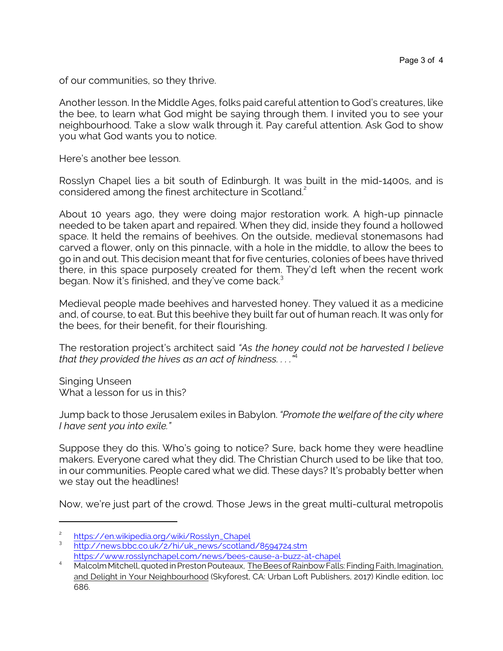of our communities, so they thrive.

Another lesson. In the Middle Ages, folks paid careful attention to God's creatures, like the bee, to learn what God might be saying through them. I invited you to see your neighbourhood. Take a slow walk through it. Pay careful attention. Ask God to show you what God wants you to notice.

Here's another bee lesson.

Rosslyn Chapel lies a bit south of Edinburgh. It was built in the mid-1400s, and is considered among the finest architecture in Scotland.<sup>2</sup>

About 10 years ago, they were doing major restoration work. A high-up pinnacle needed to be taken apart and repaired. When they did, inside they found a hollowed space. It held the remains of beehives. On the outside, medieval stonemasons had carved a flower, only on this pinnacle, with a hole in the middle, to allow the bees to go in and out. This decision meant that for five centuries, colonies of bees have thrived there, in this space purposely created for them. They'd left when the recent work began. Now it's finished, and they've come back.<sup>3</sup>

Medieval people made beehives and harvested honey. They valued it as a medicine and, of course, to eat. But this beehive they built far out of human reach. It was only for the bees, for their benefit, for their flourishing.

The restoration project's architect said *"As the honey could not be harvested I believe that they provided the hives as an act of kindness. . . ."*<sup>4</sup>

Singing Unseen What a lesson for us in this?

Jump back to those Jerusalem exiles in Babylon. *"Promote the welfare of the city where I have sent you into exile."*

Suppose they do this. Who's going to notice? Sure, back home they were headline makers. Everyone cared what they did. The Christian Church used to be like that too, in our communities. People cared what we did. These days? It's probably better when we stay out the headlines!

Now, we're just part of the crowd. Those Jews in the great multi-cultural metropolis

<sup>2</sup> [https://en.wikipedia.org/wiki/Rosslyn\\_Chapel](https://en.wikipedia.org/wiki/Rosslyn_Chapel)

<sup>3</sup> [http://news.bbc.co.uk/2/hi/uk\\_news/scotland/8594724.stm](http://news.bbc.co.uk/2/hi/uk_news/scotland/8594724.stm) <https://www.rosslynchapel.com/news/bees-cause-a-buzz-at-chapel>

Malcolm Mitchell, quoted in Preston Pouteaux, The Bees of Rainbow Falls: Finding Faith, Imagination, and Delight in Your Neighbourhood (Skyforest, CA: Urban Loft Publishers, 2017) Kindle edition, loc 686.